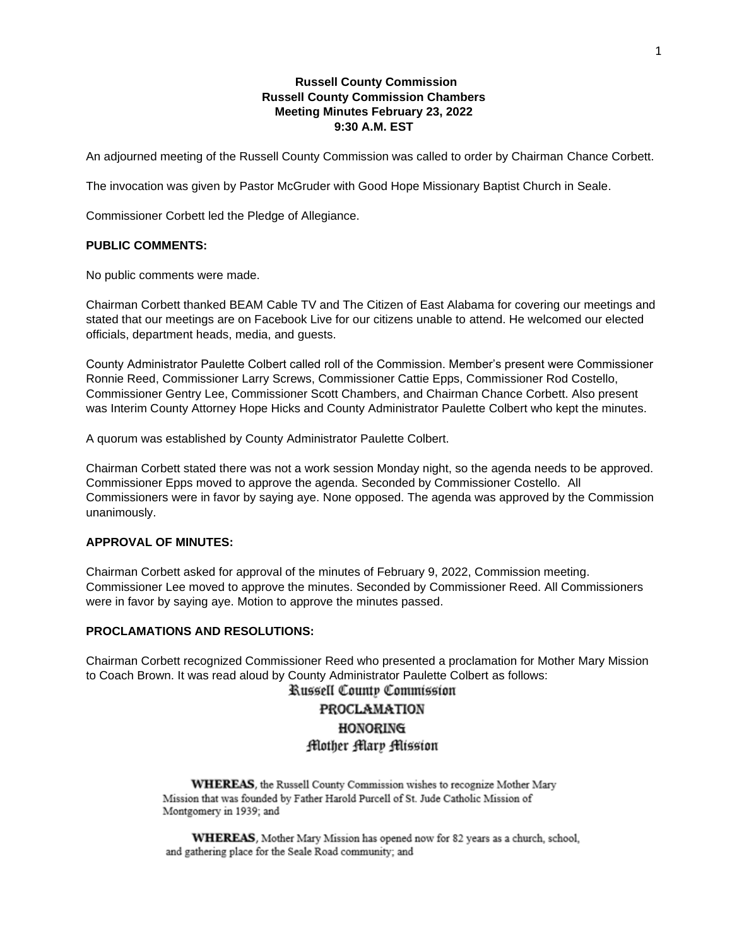# **Russell County Commission Russell County Commission Chambers Meeting Minutes February 23, 2022 9:30 A.M. EST**

An adjourned meeting of the Russell County Commission was called to order by Chairman Chance Corbett.

The invocation was given by Pastor McGruder with Good Hope Missionary Baptist Church in Seale.

Commissioner Corbett led the Pledge of Allegiance.

#### **PUBLIC COMMENTS:**

No public comments were made.

Chairman Corbett thanked BEAM Cable TV and The Citizen of East Alabama for covering our meetings and stated that our meetings are on Facebook Live for our citizens unable to attend. He welcomed our elected officials, department heads, media, and guests.

County Administrator Paulette Colbert called roll of the Commission. Member's present were Commissioner Ronnie Reed, Commissioner Larry Screws, Commissioner Cattie Epps, Commissioner Rod Costello, Commissioner Gentry Lee, Commissioner Scott Chambers, and Chairman Chance Corbett. Also present was Interim County Attorney Hope Hicks and County Administrator Paulette Colbert who kept the minutes.

A quorum was established by County Administrator Paulette Colbert.

Chairman Corbett stated there was not a work session Monday night, so the agenda needs to be approved. Commissioner Epps moved to approve the agenda. Seconded by Commissioner Costello. All Commissioners were in favor by saying aye. None opposed. The agenda was approved by the Commission unanimously.

## **APPROVAL OF MINUTES:**

Chairman Corbett asked for approval of the minutes of February 9, 2022, Commission meeting. Commissioner Lee moved to approve the minutes. Seconded by Commissioner Reed. All Commissioners were in favor by saying aye. Motion to approve the minutes passed.

# **PROCLAMATIONS AND RESOLUTIONS:**

Chairman Corbett recognized Commissioner Reed who presented a proclamation for Mother Mary Mission to Coach Brown. It was read aloud by County Administrator Paulette Colbert as follows:

# Russell County Commission PROCLAMATION **HONORING** Flother Mary Mission

WHEREAS, the Russell County Commission wishes to recognize Mother Mary Mission that was founded by Father Harold Purcell of St. Jude Catholic Mission of Montgomery in 1939; and

WHEREAS, Mother Mary Mission has opened now for 82 years as a church, school, and gathering place for the Seale Road community; and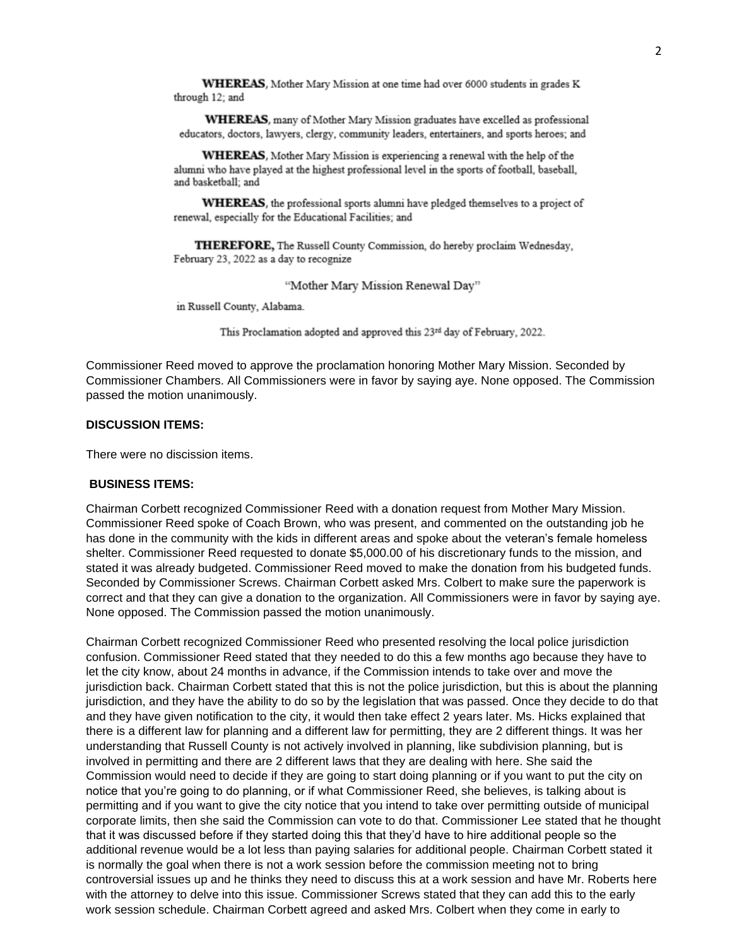WHEREAS, Mother Mary Mission at one time had over 6000 students in grades K through 12; and

WHEREAS, many of Mother Mary Mission graduates have excelled as professional educators, doctors, lawyers, clergy, community leaders, entertainers, and sports heroes; and

WHEREAS, Mother Mary Mission is experiencing a renewal with the help of the alumni who have played at the highest professional level in the sports of football, baseball, and basketball; and

WHEREAS, the professional sports alumni have pledged themselves to a project of renewal, especially for the Educational Facilities; and

THEREFORE, The Russell County Commission, do hereby proclaim Wednesday, February 23, 2022 as a day to recognize

"Mother Mary Mission Renewal Day"

in Russell County, Alabama.

This Proclamation adopted and approved this 23rd day of February, 2022.

Commissioner Reed moved to approve the proclamation honoring Mother Mary Mission. Seconded by Commissioner Chambers. All Commissioners were in favor by saying aye. None opposed. The Commission passed the motion unanimously.

#### **DISCUSSION ITEMS:**

There were no discission items.

#### **BUSINESS ITEMS:**

Chairman Corbett recognized Commissioner Reed with a donation request from Mother Mary Mission. Commissioner Reed spoke of Coach Brown, who was present, and commented on the outstanding job he has done in the community with the kids in different areas and spoke about the veteran's female homeless shelter. Commissioner Reed requested to donate \$5,000.00 of his discretionary funds to the mission, and stated it was already budgeted. Commissioner Reed moved to make the donation from his budgeted funds. Seconded by Commissioner Screws. Chairman Corbett asked Mrs. Colbert to make sure the paperwork is correct and that they can give a donation to the organization. All Commissioners were in favor by saying aye. None opposed. The Commission passed the motion unanimously.

Chairman Corbett recognized Commissioner Reed who presented resolving the local police jurisdiction confusion. Commissioner Reed stated that they needed to do this a few months ago because they have to let the city know, about 24 months in advance, if the Commission intends to take over and move the jurisdiction back. Chairman Corbett stated that this is not the police jurisdiction, but this is about the planning jurisdiction, and they have the ability to do so by the legislation that was passed. Once they decide to do that and they have given notification to the city, it would then take effect 2 years later. Ms. Hicks explained that there is a different law for planning and a different law for permitting, they are 2 different things. It was her understanding that Russell County is not actively involved in planning, like subdivision planning, but is involved in permitting and there are 2 different laws that they are dealing with here. She said the Commission would need to decide if they are going to start doing planning or if you want to put the city on notice that you're going to do planning, or if what Commissioner Reed, she believes, is talking about is permitting and if you want to give the city notice that you intend to take over permitting outside of municipal corporate limits, then she said the Commission can vote to do that. Commissioner Lee stated that he thought that it was discussed before if they started doing this that they'd have to hire additional people so the additional revenue would be a lot less than paying salaries for additional people. Chairman Corbett stated it is normally the goal when there is not a work session before the commission meeting not to bring controversial issues up and he thinks they need to discuss this at a work session and have Mr. Roberts here with the attorney to delve into this issue. Commissioner Screws stated that they can add this to the early work session schedule. Chairman Corbett agreed and asked Mrs. Colbert when they come in early to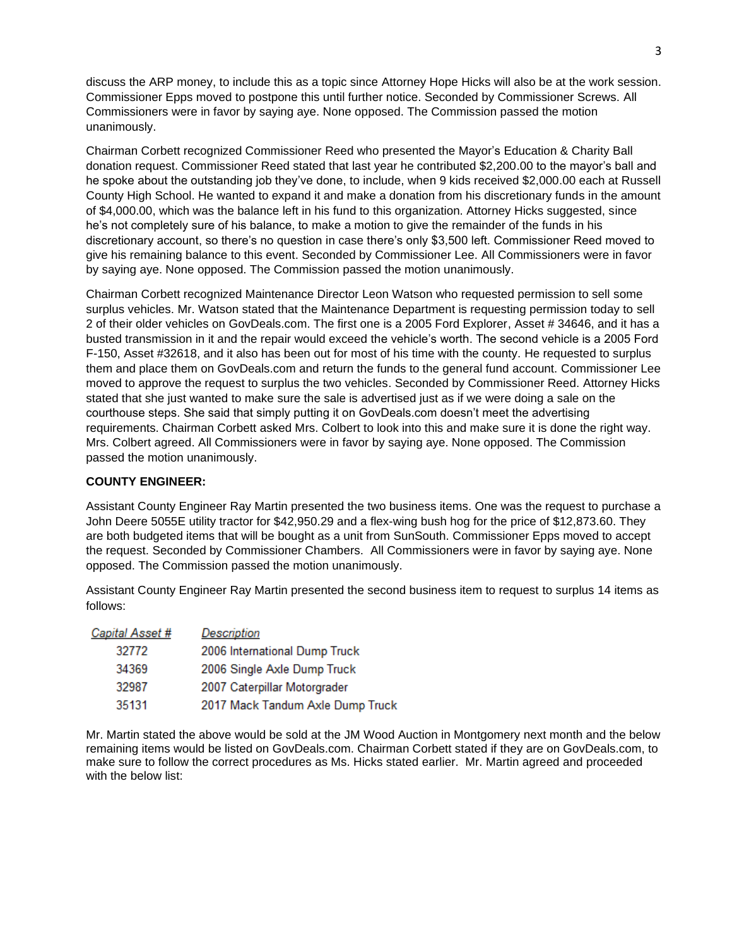discuss the ARP money, to include this as a topic since Attorney Hope Hicks will also be at the work session. Commissioner Epps moved to postpone this until further notice. Seconded by Commissioner Screws. All Commissioners were in favor by saying aye. None opposed. The Commission passed the motion unanimously.

Chairman Corbett recognized Commissioner Reed who presented the Mayor's Education & Charity Ball donation request. Commissioner Reed stated that last year he contributed \$2,200.00 to the mayor's ball and he spoke about the outstanding job they've done, to include, when 9 kids received \$2,000.00 each at Russell County High School. He wanted to expand it and make a donation from his discretionary funds in the amount of \$4,000.00, which was the balance left in his fund to this organization. Attorney Hicks suggested, since he's not completely sure of his balance, to make a motion to give the remainder of the funds in his discretionary account, so there's no question in case there's only \$3,500 left. Commissioner Reed moved to give his remaining balance to this event. Seconded by Commissioner Lee. All Commissioners were in favor by saying aye. None opposed. The Commission passed the motion unanimously.

Chairman Corbett recognized Maintenance Director Leon Watson who requested permission to sell some surplus vehicles. Mr. Watson stated that the Maintenance Department is requesting permission today to sell 2 of their older vehicles on GovDeals.com. The first one is a 2005 Ford Explorer, Asset # 34646, and it has a busted transmission in it and the repair would exceed the vehicle's worth. The second vehicle is a 2005 Ford F-150, Asset #32618, and it also has been out for most of his time with the county. He requested to surplus them and place them on GovDeals.com and return the funds to the general fund account. Commissioner Lee moved to approve the request to surplus the two vehicles. Seconded by Commissioner Reed. Attorney Hicks stated that she just wanted to make sure the sale is advertised just as if we were doing a sale on the courthouse steps. She said that simply putting it on GovDeals.com doesn't meet the advertising requirements. Chairman Corbett asked Mrs. Colbert to look into this and make sure it is done the right way. Mrs. Colbert agreed. All Commissioners were in favor by saying aye. None opposed. The Commission passed the motion unanimously.

## **COUNTY ENGINEER:**

Assistant County Engineer Ray Martin presented the two business items. One was the request to purchase a John Deere 5055E utility tractor for \$42,950.29 and a flex-wing bush hog for the price of \$12,873.60. They are both budgeted items that will be bought as a unit from SunSouth. Commissioner Epps moved to accept the request. Seconded by Commissioner Chambers. All Commissioners were in favor by saying aye. None opposed. The Commission passed the motion unanimously.

Assistant County Engineer Ray Martin presented the second business item to request to surplus 14 items as follows:

| Capital Asset # | <b>Description</b>               |
|-----------------|----------------------------------|
| 32772           | 2006 International Dump Truck    |
| 34369           | 2006 Single Axle Dump Truck      |
| 32987           | 2007 Caterpillar Motorgrader     |
| 35131           | 2017 Mack Tandum Axle Dump Truck |

Mr. Martin stated the above would be sold at the JM Wood Auction in Montgomery next month and the below remaining items would be listed on GovDeals.com. Chairman Corbett stated if they are on GovDeals.com, to make sure to follow the correct procedures as Ms. Hicks stated earlier. Mr. Martin agreed and proceeded with the below list: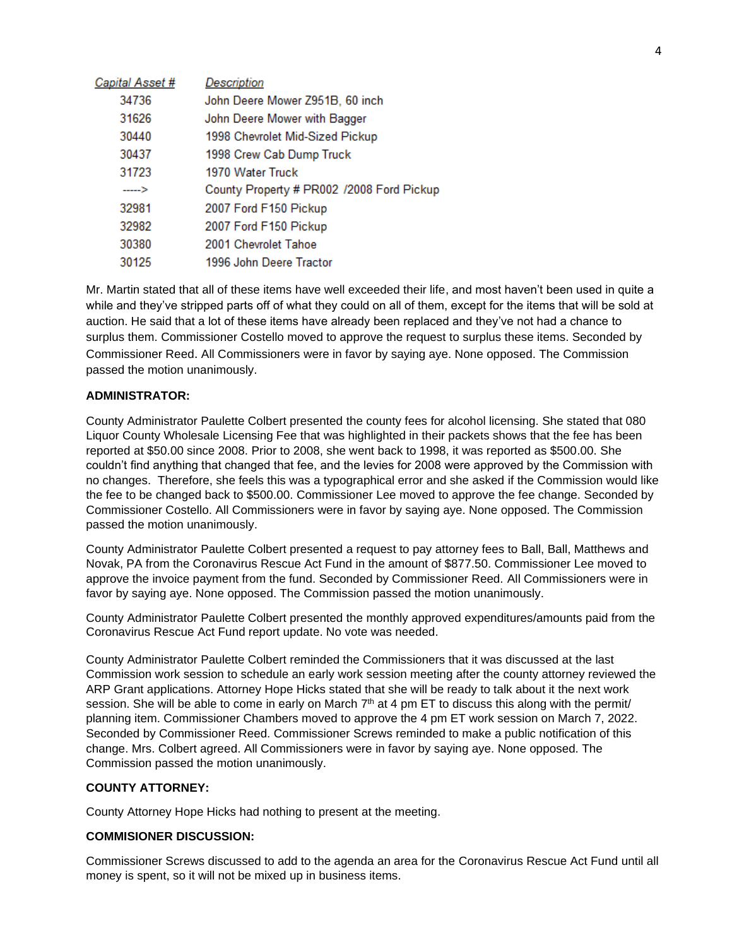| Capital Asset # | <b>Description</b>                        |
|-----------------|-------------------------------------------|
| 34736           | John Deere Mower Z951B, 60 inch           |
| 31626           | John Deere Mower with Bagger              |
| 30440           | 1998 Chevrolet Mid-Sized Pickup           |
| 30437           | 1998 Crew Cab Dump Truck                  |
| 31723           | 1970 Water Truck                          |
| ---->           | County Property # PR002 /2008 Ford Pickup |
| 32981           | 2007 Ford F150 Pickup                     |
| 32982           | 2007 Ford F150 Pickup                     |
| 30380           | 2001 Chevrolet Tahoe                      |
| 30125           | 1996 John Deere Tractor                   |

Mr. Martin stated that all of these items have well exceeded their life, and most haven't been used in quite a while and they've stripped parts off of what they could on all of them, except for the items that will be sold at auction. He said that a lot of these items have already been replaced and they've not had a chance to surplus them. Commissioner Costello moved to approve the request to surplus these items. Seconded by Commissioner Reed. All Commissioners were in favor by saying aye. None opposed. The Commission passed the motion unanimously.

# **ADMINISTRATOR:**

County Administrator Paulette Colbert presented the county fees for alcohol licensing. She stated that 080 Liquor County Wholesale Licensing Fee that was highlighted in their packets shows that the fee has been reported at \$50.00 since 2008. Prior to 2008, she went back to 1998, it was reported as \$500.00. She couldn't find anything that changed that fee, and the levies for 2008 were approved by the Commission with no changes. Therefore, she feels this was a typographical error and she asked if the Commission would like the fee to be changed back to \$500.00. Commissioner Lee moved to approve the fee change. Seconded by Commissioner Costello. All Commissioners were in favor by saying aye. None opposed. The Commission passed the motion unanimously.

County Administrator Paulette Colbert presented a request to pay attorney fees to Ball, Ball, Matthews and Novak, PA from the Coronavirus Rescue Act Fund in the amount of \$877.50. Commissioner Lee moved to approve the invoice payment from the fund. Seconded by Commissioner Reed. All Commissioners were in favor by saying aye. None opposed. The Commission passed the motion unanimously.

County Administrator Paulette Colbert presented the monthly approved expenditures/amounts paid from the Coronavirus Rescue Act Fund report update. No vote was needed.

County Administrator Paulette Colbert reminded the Commissioners that it was discussed at the last Commission work session to schedule an early work session meeting after the county attorney reviewed the ARP Grant applications. Attorney Hope Hicks stated that she will be ready to talk about it the next work session. She will be able to come in early on March  $7^{\text{th}}$  at 4 pm ET to discuss this along with the permit/ planning item. Commissioner Chambers moved to approve the 4 pm ET work session on March 7, 2022. Seconded by Commissioner Reed. Commissioner Screws reminded to make a public notification of this change. Mrs. Colbert agreed. All Commissioners were in favor by saying aye. None opposed. The Commission passed the motion unanimously.

## **COUNTY ATTORNEY:**

County Attorney Hope Hicks had nothing to present at the meeting.

# **COMMISIONER DISCUSSION:**

Commissioner Screws discussed to add to the agenda an area for the Coronavirus Rescue Act Fund until all money is spent, so it will not be mixed up in business items.